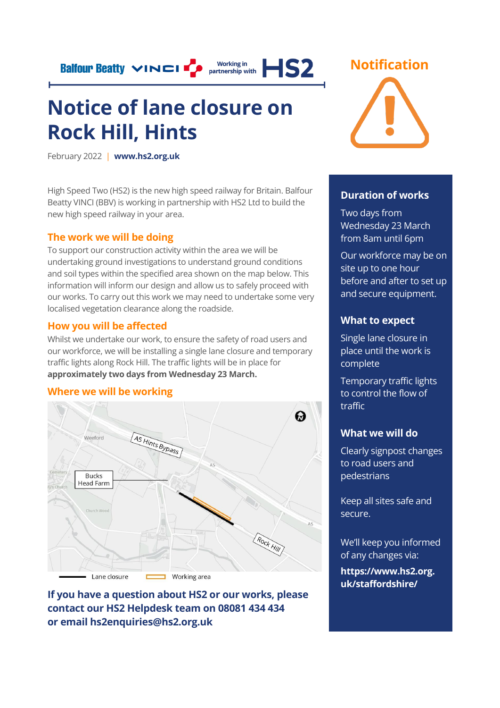**Balfour Beatty VINCI** P partnership with **HS2** 

## **Notice of lane closure on Rock Hill, Hints**

February 2022 | **[www.hs2.org.uk](http://www.hs2.org.uk/)**

High Speed Two (HS2) is the new high speed railway for Britain. Balfour Beatty VINCI (BBV) is working in partnership with HS2 Ltd to build the new high speed railway in your area.

#### **The work we will be doing**

To support our construction activity within the area we will be undertaking ground investigations to understand ground conditions and soil types within the specified area shown on the map below. This information will inform our design and allow us to safely proceed with our works. To carry out this work we may need to undertake some very localised vegetation clearance along the roadside.

#### **How you will be affected**

Lane closure

Whilst we undertake our work, to ensure the safety of road users and our workforce, we will be installing a single lane closure and temporary traffic lights along Rock Hill. The traffic lights will be in place for **approximately two days from Wednesday 23 March.**



**If you have a question about HS2 or our works, please contact our HS2 Helpdesk team on 08081 434 434 or email hs2enquiries@hs2.org.uk**

**U** Working area





#### **Duration of works**

Two days from Wednesday 23 March from 8am until 6pm

Our workforce may be on site up to one hour before and after to set up and secure equipment.

#### **What to expect**

Single lane closure in place until the work is complete

Temporary traffic lights to control the flow of traffic

#### **What we will do**

Clearly signpost changes to road users and pedestrians

Keep all sites safe and secure.

We'll keep you informed of any changes via:

**https://www.hs2.org. uk/staffordshire/**